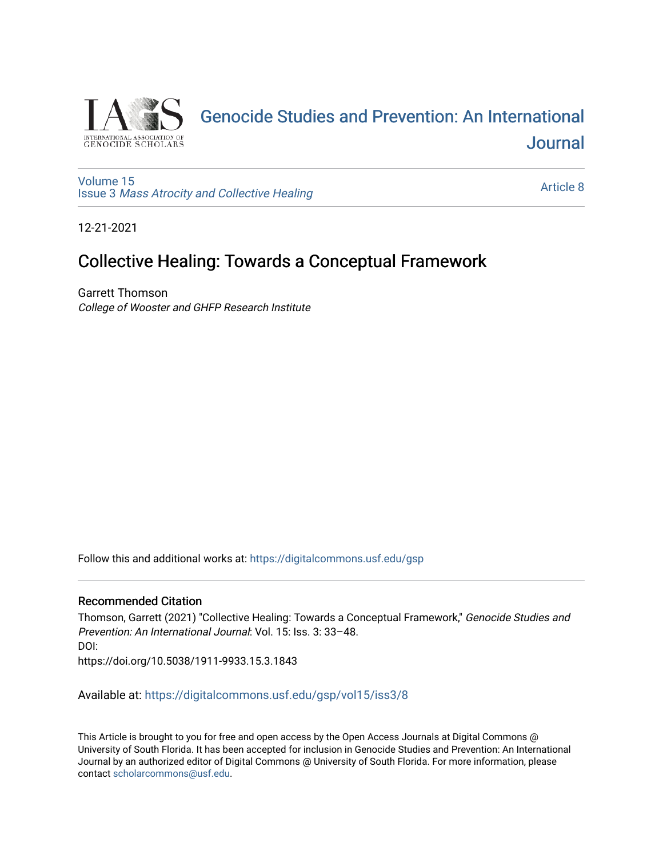

# [Genocide Studies and Prevention: An International](https://digitalcommons.usf.edu/gsp)  [Journal](https://digitalcommons.usf.edu/gsp)

[Volume 15](https://digitalcommons.usf.edu/gsp/vol15) Issue 3 [Mass Atrocity and Collective Healing](https://digitalcommons.usf.edu/gsp/vol15/iss3) 

[Article 8](https://digitalcommons.usf.edu/gsp/vol15/iss3/8) 

12-21-2021

## Collective Healing: Towards a Conceptual Framework

Garrett Thomson College of Wooster and GHFP Research Institute

Follow this and additional works at: [https://digitalcommons.usf.edu/gsp](https://digitalcommons.usf.edu/gsp?utm_source=digitalcommons.usf.edu%2Fgsp%2Fvol15%2Fiss3%2F8&utm_medium=PDF&utm_campaign=PDFCoverPages) 

#### Recommended Citation

Thomson, Garrett (2021) "Collective Healing: Towards a Conceptual Framework," Genocide Studies and Prevention: An International Journal: Vol. 15: Iss. 3: 33–48. DOI: https://doi.org/10.5038/1911-9933.15.3.1843

Available at: [https://digitalcommons.usf.edu/gsp/vol15/iss3/8](https://digitalcommons.usf.edu/gsp/vol15/iss3/8?utm_source=digitalcommons.usf.edu%2Fgsp%2Fvol15%2Fiss3%2F8&utm_medium=PDF&utm_campaign=PDFCoverPages)

This Article is brought to you for free and open access by the Open Access Journals at Digital Commons @ University of South Florida. It has been accepted for inclusion in Genocide Studies and Prevention: An International Journal by an authorized editor of Digital Commons @ University of South Florida. For more information, please contact [scholarcommons@usf.edu](mailto:scholarcommons@usf.edu).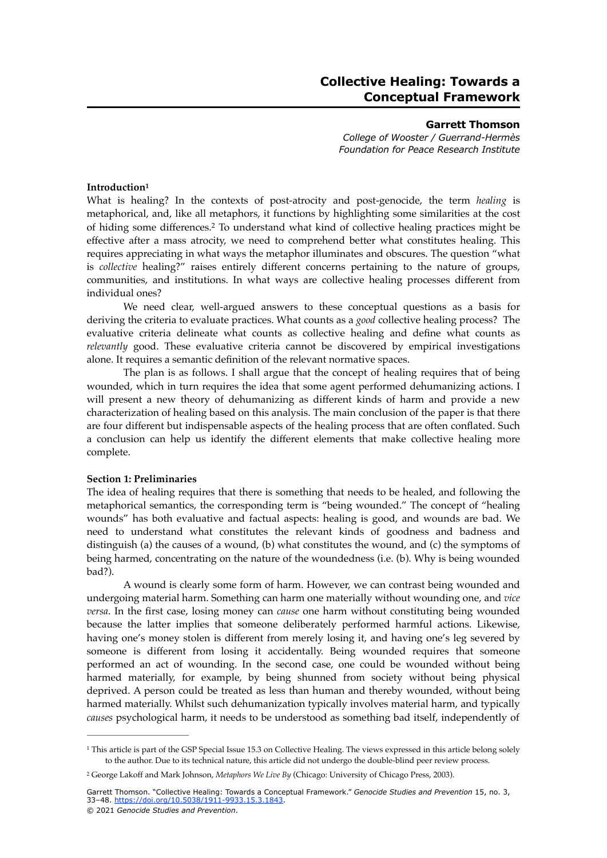### **Collective Healing: Towards a Conceptual Framework**

#### **Garrett Thomson**

*College of Wooster / Guerrand-Hermès Foundation for Peace Research Institute*

#### <span id="page-1-2"></span>**Introduction[1](#page-1-0)**

<span id="page-1-3"></span>What is healing? In the contexts of post-atrocity and post-genocide, the term *healing* is metaphorical, and, like all metaphors, it functions by highlighting some similarities at the cost ofhiding some differences.<sup>[2](#page-1-1)</sup> To understand what kind of collective healing practices might be effective after a mass atrocity, we need to comprehend better what constitutes healing. This requires appreciating in what ways the metaphor illuminates and obscures. The question "what is *collective* healing?" raises entirely different concerns pertaining to the nature of groups, communities, and institutions. In what ways are collective healing processes different from individual ones?

We need clear, well-argued answers to these conceptual questions as a basis for deriving the criteria to evaluate practices. What counts as a *good* collective healing process? The evaluative criteria delineate what counts as collective healing and define what counts as *relevantly* good. These evaluative criteria cannot be discovered by empirical investigations alone. It requires a semantic definition of the relevant normative spaces.

The plan is as follows. I shall argue that the concept of healing requires that of being wounded, which in turn requires the idea that some agent performed dehumanizing actions. I will present a new theory of dehumanizing as different kinds of harm and provide a new characterization of healing based on this analysis. The main conclusion of the paper is that there are four different but indispensable aspects of the healing process that are often conflated. Such a conclusion can help us identify the different elements that make collective healing more complete.

#### **Section 1: Preliminaries**

The idea of healing requires that there is something that needs to be healed, and following the metaphorical semantics, the corresponding term is "being wounded." The concept of "healing wounds" has both evaluative and factual aspects: healing is good, and wounds are bad. We need to understand what constitutes the relevant kinds of goodness and badness and distinguish (a) the causes of a wound, (b) what constitutes the wound, and (c) the symptoms of being harmed, concentrating on the nature of the woundedness (i.e. (b). Why is being wounded bad?).

A wound is clearly some form of harm. However, we can contrast being wounded and undergoing material harm. Something can harm one materially without wounding one, and *vice versa*. In the first case, losing money can *cause* one harm without constituting being wounded because the latter implies that someone deliberately performed harmful actions. Likewise, having one's money stolen is different from merely losing it, and having one's leg severed by someone is different from losing it accidentally. Being wounded requires that someone performed an act of wounding. In the second case, one could be wounded without being harmed materially, for example, by being shunned from society without being physical deprived. A person could be treated as less than human and thereby wounded, without being harmed materially. Whilst such dehumanization typically involves material harm, and typically *causes* psychological harm, it needs to be understood as something bad itself, independently of

<span id="page-1-0"></span><sup>&</sup>lt;sup>1</sup>This article is part of the GSP Special Issue [1](#page-1-2)5.3 on Collective Healing. The views expressed in this article belong solely to the author. Due to its technical nature, this article did not undergo the double-blind peer review process.

<span id="page-1-1"></span>George Lakoff and Mark Johnson, *Metaphors We Live By* (Chicago: University of Chicago Press, 2003). [2](#page-1-3)

Garrett Thomson. "Collective Healing: Towards a Conceptual Framework." *Genocide Studies and Prevention* 15, no. 3, 33–48. [https://doi.org/10.5038/1911-9933.15.3.1843.](https://doi.org/10.5038/1911-9933.15.3.1843)

<sup>© 2021</sup> *Genocide Studies and Prevention*.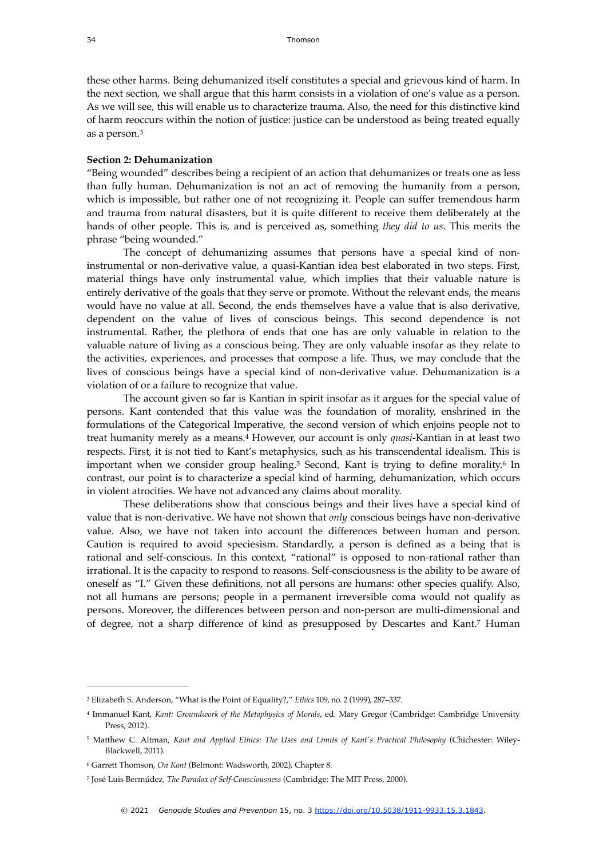these other harms. Being dehumanized itself constitutes a special and grievous kind of harm. In the next section, we shall argue that this harm consists in a violation of one's value as a person. As we will see, this will enable us to characterize trauma. Also, the need for this distinctive kind of harm reoccurs within the notion of justice: justice can be understood as being treated equally as a person[.3](#page-2-0)

#### <span id="page-2-5"></span>**Section 2: Dehumanization**

"Being wounded" describes being a recipient of an action that dehumanizes or treats one as less than fully human. Dehumanization is not an act of removing the humanity from a person, which is impossible, but rather one of not recognizing it. People can suffer tremendous harm and trauma from natural disasters, but it is quite different to receive them deliberately at the hands of other people. This is, and is perceived as, something *they did to us*. This merits the phrase "being wounded."

The concept of dehumanizing assumes that persons have a special kind of noninstrumental or non-derivative value, a quasi-Kantian idea best elaborated in two steps. First, material things have only instrumental value, which implies that their valuable nature is entirely derivative of the goals that they serve or promote. Without the relevant ends, the means would have no value at all. Second, the ends themselves have a value that is also derivative, dependent on the value of lives of conscious beings. This second dependence is not instrumental. Rather, the plethora of ends that one has are only valuable in relation to the valuable nature of living as a conscious being. They are only valuable insofar as they relate to the activities, experiences, and processes that compose a life. Thus, we may conclude that the lives of conscious beings have a special kind of non-derivative value. Dehumanization is a violation of or a failure to recognize that value.

<span id="page-2-6"></span>The account given so far is Kantian in spirit insofar as it argues for the special value of persons. Kant contended that this value was the foundation of morality, enshrined in the formulations of the Categorical Imperative, the second version of which enjoins people not to treathumanity merely as a means.<sup>4</sup> However, our account is only *quasi*-Kantian in at least two respects. First, it is not tied to Kant's metaphysics, such as his transcendental idealism. This is important when we consider group healing.<sup>[5](#page-2-2)</sup> Second, Kant is trying to define morality.<sup>6</sup> In contrast, our point is to characterize a special kind of harming, dehumanization, which occurs in violent atrocities. We have not advanced any claims about morality.

<span id="page-2-8"></span><span id="page-2-7"></span>These deliberations show that conscious beings and their lives have a special kind of value that is non-derivative. We have not shown that *only* conscious beings have non-derivative value. Also, we have not taken into account the differences between human and person. Caution is required to avoid speciesism. Standardly, a person is defined as a being that is rational and self-conscious. In this context, "rational" is opposed to non-rational rather than irrational. It is the capacity to respond to reasons. Self-consciousness is the ability to be aware of oneself as "I." Given these definitions, not all persons are humans: other species qualify. Also, not all humans are persons; people in a permanent irreversible coma would not qualify as persons. Moreover, the differences between person and non-person are multi-dimensional and of degree, not a sharp difference of kind as presupposed by Descartes and Kant[.](#page-2-4)<sup>[7](#page-2-4)</sup> Human

<span id="page-2-9"></span><span id="page-2-0"></span>Elizabeth S. Anderson, "What is the Point of Equality?," *Ethics* 109, no. 2 (1999), 287–337. [3](#page-2-5)

<span id="page-2-1"></span>Immanuel Kant, *Kant: Groundwork of the Metaphysics of Morals*, ed. Mary Gregor (Cambridge: Cambridge University [4](#page-2-6) Press, 2012).

<span id="page-2-2"></span><sup>&</sup>lt;sup>[5](#page-2-7)</sup> Matthew C. Altman, *Kant and Applied Ethics: The Uses and Limits of Kant's Practical Philosophy* (Chichester: Wiley-Blackwell, 2011).

<span id="page-2-3"></span><sup>&</sup>lt;sup>[6](#page-2-8)</sup> Garrett Thomson, *On Kant* (Belmont: Wadsworth, 2002), Chapter 8.

<span id="page-2-4"></span>José Luis Bermúdez, *The Paradox of Self-Consciousness* (Cambridge: The MIT Press, 2000). [7](#page-2-9)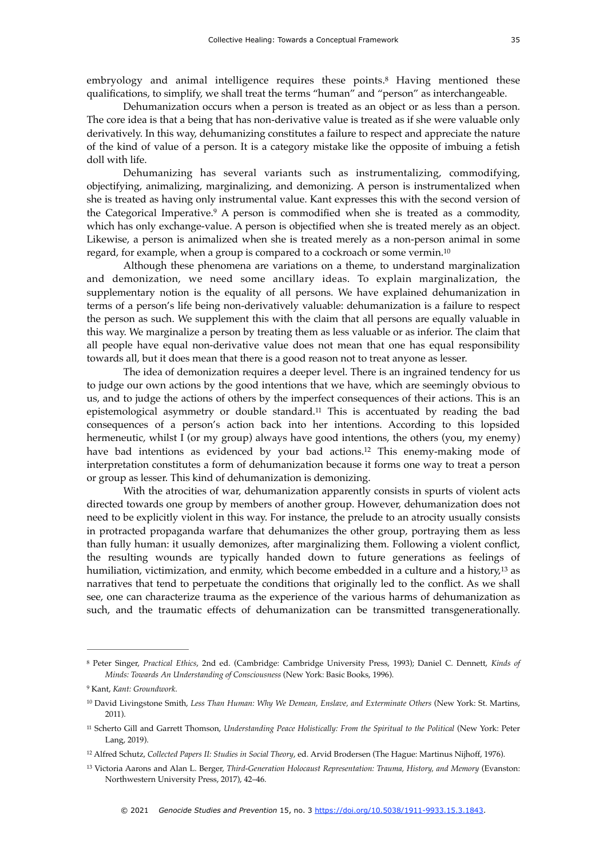<span id="page-3-6"></span>embryology and animal intelligence requires these points.<sup>[8](#page-3-0)</sup> Having mentioned these qualifications, to simplify, we shall treat the terms "human" and "person" as interchangeable.

Dehumanization occurs when a person is treated as an object or as less than a person. The core idea is that a being that has non-derivative value is treated as if she were valuable only derivatively. In this way, dehumanizing constitutes a failure to respect and appreciate the nature of the kind of value of a person. It is a category mistake like the opposite of imbuing a fetish doll with life.

<span id="page-3-7"></span>Dehumanizing has several variants such as instrumentalizing, commodifying, objectifying, animalizing, marginalizing, and demonizing. A person is instrumentalized when she is treated as having only instrumental value. Kant expresses this with the second version of the Categorical Imperative.<sup>[9](#page-3-1)</sup> A person is commodified when she is treated as a commodity, which has only exchange-value. A person is objectified when she is treated merely as an object. Likewise, a person is animalized when she is treated merely as a non-person animal in some regard, for example, when a group is compared to a cockroach or some vermin.<sup>10</sup>

<span id="page-3-8"></span>Although these phenomena are variations on a theme, to understand marginalization and demonization, we need some ancillary ideas. To explain marginalization, the supplementary notion is the equality of all persons. We have explained dehumanization in terms of a person's life being non-derivatively valuable: dehumanization is a failure to respect the person as such. We supplement this with the claim that all persons are equally valuable in this way. We marginalize a person by treating them as less valuable or as inferior. The claim that all people have equal non-derivative value does not mean that one has equal responsibility towards all, but it does mean that there is a good reason not to treat anyone as lesser.

<span id="page-3-9"></span>The idea of demonization requires a deeper level. There is an ingrained tendency for us to judge our own actions by the good intentions that we have, which are seemingly obvious to us, and to judge the actions of others by the imperfect consequences of their actions. This is an epistemological asymmetry or double standard.<sup>[11](#page-3-3)</sup> This is accentuated by reading the bad consequences of a person's action back into her intentions. According to this lopsided hermeneutic, whilst I (or my group) always have good intentions, the others (you, my enemy) have bad intentions as evidenced by your bad actions.<sup>[12](#page-3-4)</sup> This enemy-making mode of interpretation constitutes a form of dehumanization because it forms one way to treat a person or group as lesser. This kind of dehumanization is demonizing.

<span id="page-3-11"></span><span id="page-3-10"></span>With the atrocities of war, dehumanization apparently consists in spurts of violent acts directed towards one group by members of another group. However, dehumanization does not need to be explicitly violent in this way. For instance, the prelude to an atrocity usually consists in protracted propaganda warfare that dehumanizes the other group, portraying them as less than fully human: it usually demonizes, after marginalizing them. Following a violent conflict, the resulting wounds are typically handed down to future generations as feelings of humiliation, victimization, and enmity, which become embedded in a culture and a history,<sup>[13](#page-3-5)</sup> as narratives that tend to perpetuate the conditions that originally led to the conflict. As we shall see, one can characterize trauma as the experience of the various harms of dehumanization as such, and the traumatic effects of dehumanization can be transmitted transgenerationally.

<span id="page-3-0"></span>Peter Singer, *Practical Ethics*, 2nd ed. (Cambridge: Cambridge University Press, 1993); Daniel C. Dennett, *Kinds of* [8](#page-3-6) *Minds: Towards An Understanding of Consciousness* (New York: Basic Books, 1996).

<span id="page-3-1"></span>Kant, *Kant: Groundwork*. [9](#page-3-7)

<span id="page-3-2"></span><sup>&</sup>lt;sup>[10](#page-3-8)</sup> David Livingstone Smith, *Less Than Human: Why We Demean, Enslave, and Exterminate Others* (New York: St. Martins, 2011).

<span id="page-3-3"></span><sup>&</sup>lt;sup>[11](#page-3-9)</sup> Scherto Gill and Garrett Thomson, *Understanding Peace Holistically: From the Spiritual to the Political* (New York: Peter Lang, 2019).

<span id="page-3-4"></span><sup>&</sup>lt;sup>[12](#page-3-10)</sup> Alfred Schutz, *Collected Papers II: Studies in Social Theory*, ed. Arvid Brodersen (The Hague: Martinus Nijhoff, 1976).

<span id="page-3-5"></span>Victoria Aarons and Alan L. Berger, *Third-Generation Holocaust Representation: Trauma, History, and Memory* (Evanston: [13](#page-3-11) Northwestern University Press, 2017), 42–46.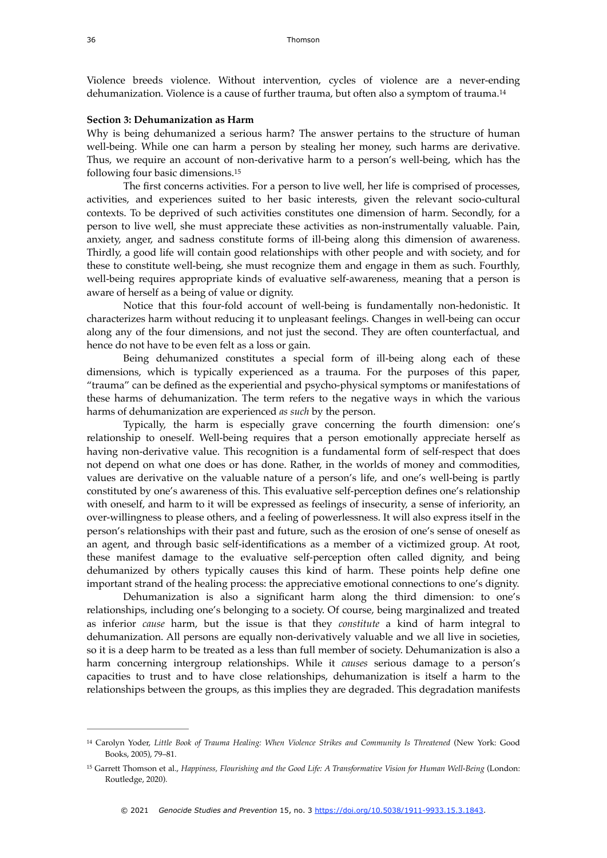<span id="page-4-2"></span>Violence breeds violence. Without intervention, cycles of violence are a never-ending dehumanization. Violence is a cause of further trauma, but often also a symptom of trauma.<sup>[14](#page-4-0)</sup>

#### **Section 3: Dehumanization as Harm**

Why is being dehumanized a serious harm? The answer pertains to the structure of human well-being. While one can harm a person by stealing her money, such harms are derivative. Thus, we require an account of non-derivative harm to a person's well-being, which has the following four basic dimensions.[15](#page-4-1)

<span id="page-4-3"></span>The first concerns activities. For a person to live well, her life is comprised of processes, activities, and experiences suited to her basic interests, given the relevant socio-cultural contexts. To be deprived of such activities constitutes one dimension of harm. Secondly, for a person to live well, she must appreciate these activities as non-instrumentally valuable. Pain, anxiety, anger, and sadness constitute forms of ill-being along this dimension of awareness. Thirdly, a good life will contain good relationships with other people and with society, and for these to constitute well-being, she must recognize them and engage in them as such. Fourthly, well-being requires appropriate kinds of evaluative self-awareness, meaning that a person is aware of herself as a being of value or dignity.

Notice that this four-fold account of well-being is fundamentally non-hedonistic. It characterizes harm without reducing it to unpleasant feelings. Changes in well-being can occur along any of the four dimensions, and not just the second. They are often counterfactual, and hence do not have to be even felt as a loss or gain.

Being dehumanized constitutes a special form of ill-being along each of these dimensions, which is typically experienced as a trauma. For the purposes of this paper, "trauma" can be defined as the experiential and psycho-physical symptoms or manifestations of these harms of dehumanization. The term refers to the negative ways in which the various harms of dehumanization are experienced *as such* by the person.

Typically, the harm is especially grave concerning the fourth dimension: one's relationship to oneself. Well-being requires that a person emotionally appreciate herself as having non-derivative value. This recognition is a fundamental form of self-respect that does not depend on what one does or has done. Rather, in the worlds of money and commodities, values are derivative on the valuable nature of a person's life, and one's well-being is partly constituted by one's awareness of this. This evaluative self-perception defines one's relationship with oneself, and harm to it will be expressed as feelings of insecurity, a sense of inferiority, an over-willingness to please others, and a feeling of powerlessness. It will also express itself in the person's relationships with their past and future, such as the erosion of one's sense of oneself as an agent, and through basic self-identifications as a member of a victimized group. At root, these manifest damage to the evaluative self-perception often called dignity, and being dehumanized by others typically causes this kind of harm. These points help define one important strand of the healing process: the appreciative emotional connections to one's dignity.

Dehumanization is also a significant harm along the third dimension: to one's relationships, including one's belonging to a society. Of course, being marginalized and treated as inferior *cause* harm, but the issue is that they *constitute* a kind of harm integral to dehumanization. All persons are equally non-derivatively valuable and we all live in societies, so it is a deep harm to be treated as a less than full member of society. Dehumanization is also a harm concerning intergroup relationships. While it *causes* serious damage to a person's capacities to trust and to have close relationships, dehumanization is itself a harm to the relationships between the groups, as this implies they are degraded. This degradation manifests

<span id="page-4-0"></span><sup>&</sup>lt;sup>[14](#page-4-2)</sup> Carolyn Yoder, Little Book of Trauma Healing: When Violence Strikes and Community Is Threatened (New York: Good Books, 2005), 79–81.

<span id="page-4-1"></span><sup>&</sup>lt;sup>[15](#page-4-3)</sup> Garrett Thomson et al., *Happiness, Flourishing and the Good Life: A Transformative Vision for Human Well-Being (London:* Routledge, 2020).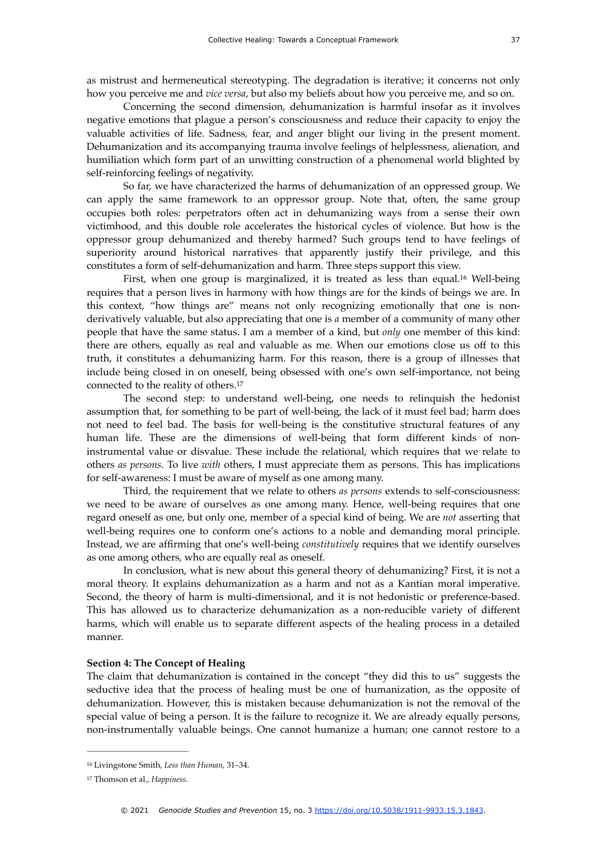Concerning the second dimension, dehumanization is harmful insofar as it involves negative emotions that plague a person's consciousness and reduce their capacity to enjoy the valuable activities of life. Sadness, fear, and anger blight our living in the present moment. Dehumanization and its accompanying trauma involve feelings of helplessness, alienation, and humiliation which form part of an unwitting construction of a phenomenal world blighted by self-reinforcing feelings of negativity.

So far, we have characterized the harms of dehumanization of an oppressed group. We can apply the same framework to an oppressor group. Note that, often, the same group occupies both roles: perpetrators often act in dehumanizing ways from a sense their own victimhood, and this double role accelerates the historical cycles of violence. But how is the oppressor group dehumanized and thereby harmed? Such groups tend to have feelings of superiority around historical narratives that apparently justify their privilege, and this constitutes a form of self-dehumanization and harm. Three steps support this view.

<span id="page-5-2"></span>First, when one group is marginalized, it is treated as less than equal.<sup>[16](#page-5-0)</sup> Well-being requires that a person lives in harmony with how things are for the kinds of beings we are. In this context, "how things are" means not only recognizing emotionally that one is nonderivatively valuable, but also appreciating that one is *a* member of a community of many other people that have the same status. I am a member of a kind, but *only* one member of this kind: there are others, equally as real and valuable as me. When our emotions close us off to this truth, it constitutes a dehumanizing harm. For this reason, there is a group of illnesses that include being closed in on oneself, being obsessed with one's own self-importance, not being connected to the reality of others[. 17](#page-5-1)

<span id="page-5-3"></span>The second step: to understand well-being, one needs to relinquish the hedonist assumption that, for something to be part of well-being, the lack of it must feel bad; harm does not need to feel bad. The basis for well-being is the constitutive structural features of any human life. These are the dimensions of well-being that form different kinds of noninstrumental value or disvalue. These include the relational, which requires that we relate to others *as persons*. To live *with* others, I must appreciate them as persons. This has implications for self-awareness: I must be aware of myself as one among many.

Third, the requirement that we relate to others *as persons* extends to self-consciousness: we need to be aware of ourselves as one among many. Hence, well-being requires that one regard oneself as one, but only one, member of a special kind of being. We are *not* asserting that well-being requires one to conform one's actions to a noble and demanding moral principle. Instead, we are affirming that one's well-being *constitutively* requires that we identify ourselves as one among others, who are equally real as oneself.

In conclusion, what is new about this general theory of dehumanizing? First, it is not a moral theory. It explains dehumanization as a harm and not as a Kantian moral imperative. Second, the theory of harm is multi-dimensional, and it is not hedonistic or preference-based. This has allowed us to characterize dehumanization as a non-reducible variety of different harms, which will enable us to separate different aspects of the healing process in a detailed manner.

#### **Section 4: The Concept of Healing**

The claim that dehumanization is contained in the concept "they did this to us" suggests the seductive idea that the process of healing must be one of humanization, as the opposite of dehumanization. However, this is mistaken because dehumanization is not the removal of the special value of being a person. It is the failure to recognize it. We are already equally persons, non-instrumentally valuable beings. One cannot humanize a human; one cannot restore to a

<span id="page-5-0"></span><sup>&</sup>lt;sup>[16](#page-5-2)</sup> Livingstone Smith, *Less than Human*, 31-34.

<span id="page-5-1"></span><sup>&</sup>lt;sup>[17](#page-5-3)</sup> Thomson et al., *Happiness*.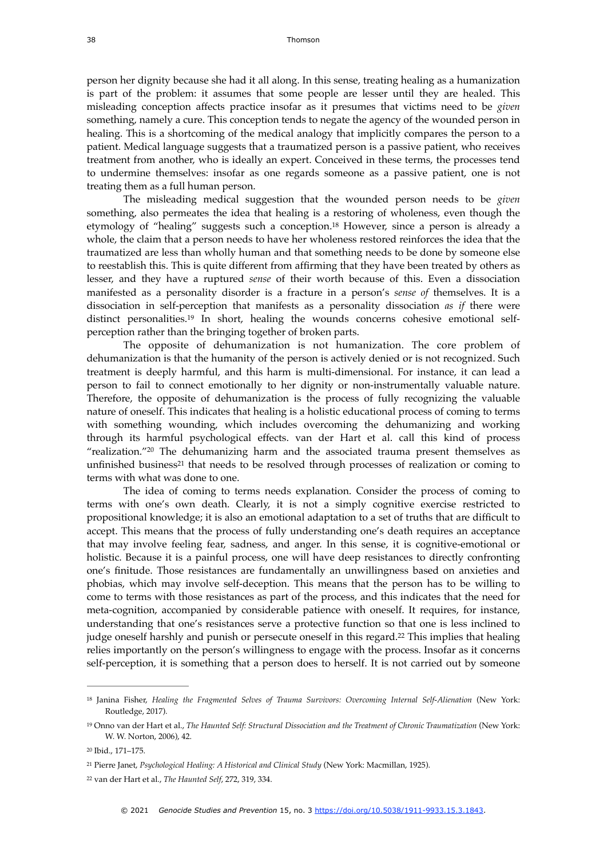person her dignity because she had it all along. In this sense, treating healing as a humanization is part of the problem: it assumes that some people are lesser until they are healed. This misleading conception affects practice insofar as it presumes that victims need to be *given* something, namely a cure. This conception tends to negate the agency of the wounded person in healing. This is a shortcoming of the medical analogy that implicitly compares the person to a patient. Medical language suggests that a traumatized person is a passive patient, who receives treatment from another, who is ideally an expert. Conceived in these terms, the processes tend to undermine themselves: insofar as one regards someone as a passive patient, one is not treating them as a full human person.

<span id="page-6-5"></span>The misleading medical suggestion that the wounded person needs to be *given* something, also permeates the idea that healing is a restoring of wholeness, even though the etymology of "healing" suggests such a conception.<sup>[18](#page-6-0)</sup> However, since a person is already a whole, the claim that a person needs to have her wholeness restored reinforces the idea that the traumatized are less than wholly human and that something needs to be done by someone else to reestablish this. This is quite different from affirming that they have been treated by others as lesser, and they have a ruptured *sense* of their worth because of this. Even a dissociation manifested as a personality disorder is a fracture in a person's *sense of* themselves. It is a dissociation in self-perception that manifests as a personality dissociation *as if* there were distinct personalities.<sup>19</sup> In short, healing the wounds concerns cohesive emotional selfperception rather than the bringing together of broken parts.

<span id="page-6-6"></span>The opposite of dehumanization is not humanization. The core problem of dehumanization is that the humanity of the person is actively denied or is not recognized. Such treatment is deeply harmful, and this harm is multi-dimensional. For instance, it can lead a person to fail to connect emotionally to her dignity or non-instrumentally valuable nature. Therefore, the opposite of dehumanization is the process of fully recognizing the valuable nature of oneself. This indicates that healing is a holistic educational process of coming to terms with something wounding, which includes overcoming the dehumanizing and working through its harmful psychological effects. van der Hart et al. call this kind of process ["](#page-6-2)realization."<sup>[20](#page-6-2)</sup> The dehumanizing harm and the associated trauma present themselves as unfinished business<sup>21</sup> that need[s](#page-6-3) to be resolved through processes of realization or coming to terms with what was done to one.

<span id="page-6-8"></span><span id="page-6-7"></span>The idea of coming to terms needs explanation. Consider the process of coming to terms with one's own death. Clearly, it is not a simply cognitive exercise restricted to propositional knowledge; it is also an emotional adaptation to a set of truths that are difficult to accept. This means that the process of fully understanding one's death requires an acceptance that may involve feeling fear, sadness, and anger. In this sense, it is cognitive-emotional or holistic. Because it is a painful process, one will have deep resistances to directly confronting one's finitude. Those resistances are fundamentally an unwillingness based on anxieties and phobias, which may involve self-deception. This means that the person has to be willing to come to terms with those resistances as part of the process, and this indicates that the need for meta-cognition, accompanied by considerable patience with oneself. It requires, for instance, understanding that one's resistances serve a protective function so that one is less inclined to judge oneself harshly and punish or persecute oneself in this regard.<sup>[22](#page-6-4)</sup> This implies that healing relies importantly on the person's willingness to engage with the process. Insofar as it concerns self-perception, it is something that a person does to herself. It is not carried out by someone

<span id="page-6-9"></span><span id="page-6-0"></span><sup>&</sup>lt;sup>[18](#page-6-5)</sup> Janina Fisher, *Healing the Fragmented Selves of Trauma Survivors: Overcoming Internal Self-Alienation (New York:* Routledge, 2017).

<span id="page-6-1"></span><sup>&</sup>lt;sup>[19](#page-6-6)</sup> Onno van der Hart et al., *The Haunted Self: Structural Dissociation and the Treatment of Chronic Traumatization* (New York: W. W. Norton, 2006), 42.

<span id="page-6-2"></span><sup>&</sup>lt;sup>[20](#page-6-7)</sup> Ibid., 171-175.

<span id="page-6-3"></span>Pierre Janet, *Psychological Healing: A Historical and Clinical Study* (New York: Macmillan, 1925). [21](#page-6-8)

<span id="page-6-4"></span><sup>&</sup>lt;sup>[22](#page-6-9)</sup> van der Hart et al., The Haunted Self, 272, 319, 334.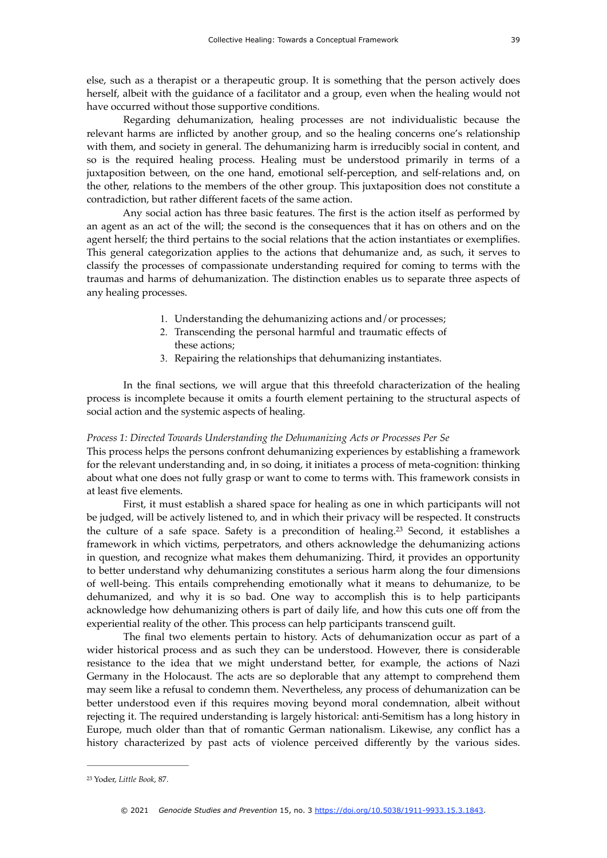else, such as a therapist or a therapeutic group. It is something that the person actively does herself, albeit with the guidance of a facilitator and a group, even when the healing would not have occurred without those supportive conditions.

Regarding dehumanization, healing processes are not individualistic because the relevant harms are inflicted by another group, and so the healing concerns one's relationship with them, and society in general. The dehumanizing harm is irreducibly social in content, and so is the required healing process. Healing must be understood primarily in terms of a juxtaposition between, on the one hand, emotional self-perception, and self-relations and, on the other, relations to the members of the other group. This juxtaposition does not constitute a contradiction, but rather different facets of the same action.

Any social action has three basic features. The first is the action itself as performed by an agent as an act of the will; the second is the consequences that it has on others and on the agent herself; the third pertains to the social relations that the action instantiates or exemplifies. This general categorization applies to the actions that dehumanize and, as such, it serves to classify the processes of compassionate understanding required for coming to terms with the traumas and harms of dehumanization. The distinction enables us to separate three aspects of any healing processes.

- 1. Understanding the dehumanizing actions and/or processes;
- 2. Transcending the personal harmful and traumatic effects of these actions;
- <span id="page-7-1"></span>3. Repairing the relationships that dehumanizing instantiates.

In the final sections, we will argue that this threefold characterization of the healing process is incomplete because it omits a fourth element pertaining to the structural aspects of social action and the systemic aspects of healing.

#### *Process 1: Directed Towards Understanding the Dehumanizing Acts or Processes Per Se*

This process helps the persons confront dehumanizing experiences by establishing a framework for the relevant understanding and, in so doing, it initiates a process of meta-cognition: thinking about what one does not fully grasp or want to come to terms with. This framework consists in at least five elements.

First, it must establish a shared space for healing as one in which participants will not be judged, will be actively listened to, and in which their privacy will be respected. It constructs the culture of a safe space. Safety is a precondition of healing.<sup>[23](#page-7-0)</sup> Second, it establishes a framework in which victims, perpetrators, and others acknowledge the dehumanizing actions in question, and recognize what makes them dehumanizing. Third, it provides an opportunity to better understand why dehumanizing constitutes a serious harm along the four dimensions of well-being. This entails comprehending emotionally what it means to dehumanize, to be dehumanized, and why it is so bad. One way to accomplish this is to help participants acknowledge how dehumanizing others is part of daily life, and how this cuts one off from the experiential reality of the other. This process can help participants transcend guilt.

The final two elements pertain to history. Acts of dehumanization occur as part of a wider historical process and as such they can be understood. However, there is considerable resistance to the idea that we might understand better, for example, the actions of Nazi Germany in the Holocaust. The acts are so deplorable that any attempt to comprehend them may seem like a refusal to condemn them. Nevertheless, any process of dehumanization can be better understood even if this requires moving beyond moral condemnation, albeit without rejecting it. The required understanding is largely historical: anti-Semitism has a long history in Europe, much older than that of romantic German nationalism. Likewise, any conflict has a history characterized by past acts of violence perceived differently by the various sides.

<span id="page-7-0"></span>Yoder, *Little Book*, 87. [23](#page-7-1)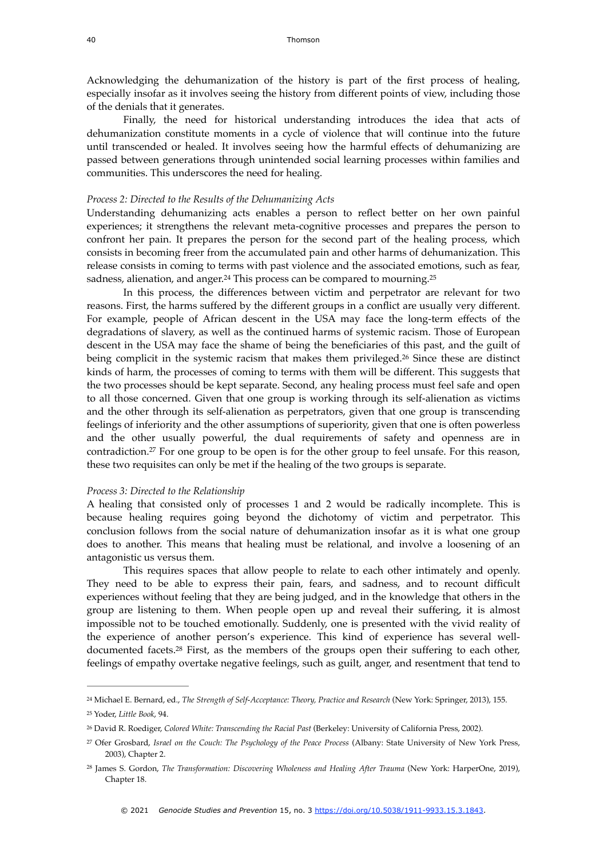Acknowledging the dehumanization of the history is part of the first process of healing, especially insofar as it involves seeing the history from different points of view, including those of the denials that it generates.

Finally, the need for historical understanding introduces the idea that acts of dehumanization constitute moments in a cycle of violence that will continue into the future until transcended or healed. It involves seeing how the harmful effects of dehumanizing are passed between generations through unintended social learning processes within families and communities. This underscores the need for healing.

#### *Process 2: Directed to the Results of the Dehumanizing Acts*

Understanding dehumanizing acts enables a person to reflect better on her own painful experiences; it strengthens the relevant meta-cognitive processes and prepares the person to confront her pain. It prepares the person for the second part of the healing process, which consists in becoming freer from the accumulated pain and other harms of dehumanization. This release consists in coming to terms with past violence and the associated emotions, such as fear, sadness, alienation, and anger.<sup>24</sup> This process can be compared to mourning.<sup>[25](#page-8-1)</sup>

<span id="page-8-7"></span><span id="page-8-6"></span><span id="page-8-5"></span>In this process, the differences between victim and perpetrator are relevant for two reasons. First, the harms suffered by the different groups in a conflict are usually very different. For example, people of African descent in the USA may face the long-term effects of the degradations of slavery, as well as the continued harms of systemic racism. Those of European descent in the USA may face the shame of being the beneficiaries of this past, and the guilt of being complicit in the systemic racism that makes them privileged.<sup>[26](#page-8-2)</sup> Since these are distinct kinds of harm, the processes of coming to terms with them will be different. This suggests that the two processes should be kept separate. Second, any healing process must feel safe and open to all those concerned. Given that one group is working through its self-alienation as victims and the other through its self-alienation as perpetrators, given that one group is transcending feelings of inferiority and the other assumptions of superiority, given that one is often powerless and the other usually powerful, the dual requirements of safety and openness are in contradiction[.](#page-8-3)<sup>[27](#page-8-3)</sup> For one group to be open is for the other group to feel unsafe. For this reason, these two requisites can only be met if the healing of the two groups is separate.

#### <span id="page-8-8"></span>*Process 3: Directed to the Relationship*

A healing that consisted only of processes 1 and 2 would be radically incomplete. This is because healing requires going beyond the dichotomy of victim and perpetrator. This conclusion follows from the social nature of dehumanization insofar as it is what one group does to another. This means that healing must be relational, and involve a loosening of an antagonistic us versus them.

This requires spaces that allow people to relate to each other intimately and openly. They need to be able to express their pain, fears, and sadness, and to recount difficult experiences without feeling that they are being judged, and in the knowledge that others in the group are listening to them. When people open up and reveal their suffering, it is almost impossible not to be touched emotionally. Suddenly, one is presented with the vivid reality of the experience of another person's experience. This kind of experience has several well-documented facets[.](#page-8-4)<sup>[28](#page-8-4)</sup> First, as the members of the groups open their suffering to each other, feelings of empathy overtake negative feelings, such as guilt, anger, and resentment that tend to

<span id="page-8-9"></span><span id="page-8-1"></span><span id="page-8-0"></span>Michael E. Bernard, ed., *The Strength of Self-Acceptance: Theory, Practice and Research* (New York: Springer, 2013), 155. [24](#page-8-5) Yoder, *Little Book*, 94. [25](#page-8-6)

<span id="page-8-2"></span><sup>&</sup>lt;sup>[26](#page-8-7)</sup> David R. Roediger, *Colored White: Transcending the Racial Past* (Berkeley: University of California Press, 2002).

<span id="page-8-3"></span>Ofer Grosbard, *Israel on the Couch: The Psychology of the Peace Process* (Albany: State University of New York Press, [27](#page-8-8) 2003), Chapter 2.

<span id="page-8-4"></span><sup>&</sup>lt;sup>[28](#page-8-9)</sup> James S. Gordon, *The Transformation: Discovering Wholeness and Healing After Trauma* (New York: HarperOne, 2019), Chapter 18.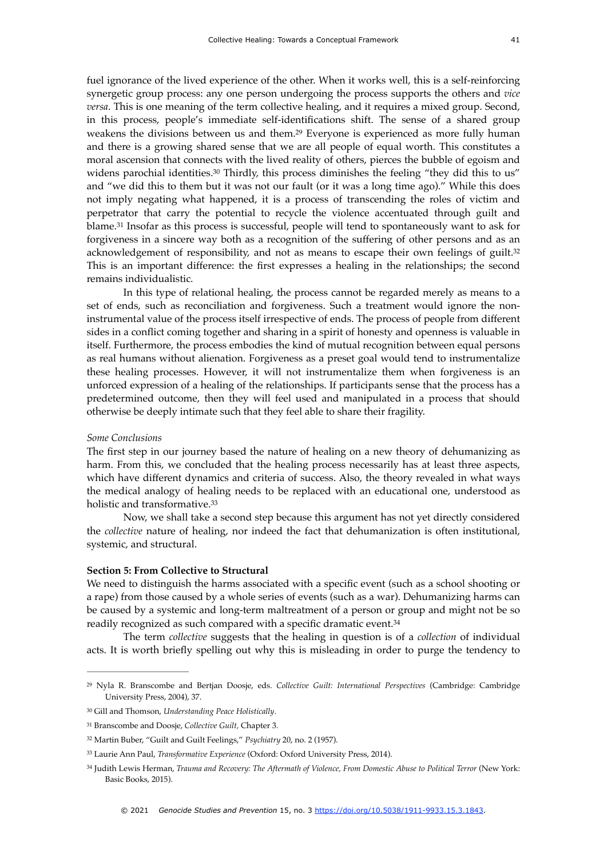<span id="page-9-7"></span><span id="page-9-6"></span>fuel ignorance of the lived experience of the other. When it works well, this is a self-reinforcing synergetic group process: any one person undergoing the process supports the others and *vice versa*. This is one meaning of the term collective healing, and it requires a mixed group. Second, in this process, people's immediate self-identifications shift. The sense of a shared group weakens the divisions between us and them.<sup>[29](#page-9-0)</sup> Everyone is experienced as more fully human and there is a growing shared sense that we are all people of equal worth. This constitutes a moral ascension that connects with the lived reality of others, pierces the bubble of egoism and widens parochial identities.<sup>[30](#page-9-1)</sup> Thirdly, this process diminishes the feeling "they did this to us" and "we did this to them but it was not our fault (or it was a long time ago)." While this does not imply negating what happened, it is a process of transcending the roles of victim and perpetrator that carry the potential to recycle the violence accentuated through guilt and blame.<sup>[31](#page-9-2)</sup> Insofar as this process is successful, people will tend to spontaneously want to ask for forgiveness in a sincere way both as a recognition of the suffering of other persons and as an acknowledgement of responsibility, and not as means to escape their own feelings of guilt.<sup>[32](#page-9-3)</sup> This is an important difference: the first expresses a healing in the relationships; the second remains individualistic.

<span id="page-9-9"></span><span id="page-9-8"></span>In this type of relational healing, the process cannot be regarded merely as means to a set of ends, such as reconciliation and forgiveness. Such a treatment would ignore the noninstrumental value of the process itself irrespective of ends. The process of people from different sides in a conflict coming together and sharing in a spirit of honesty and openness is valuable in itself. Furthermore, the process embodies the kind of mutual recognition between equal persons as real humans without alienation. Forgiveness as a preset goal would tend to instrumentalize these healing processes. However, it will not instrumentalize them when forgiveness is an unforced expression of a healing of the relationships. If participants sense that the process has a predetermined outcome, then they will feel used and manipulated in a process that should otherwise be deeply intimate such that they feel able to share their fragility.

#### *Some Conclusions*

The first step in our journey based the nature of healing on a new theory of dehumanizing as harm. From this, we concluded that the healing process necessarily has at least three aspects, which have different dynamics and criteria of success. Also, the theory revealed in what ways the medical analogy of healing needs to be replaced with an educational one, understood as holistic and transformative.<sup>33</sup>

<span id="page-9-10"></span>Now, we shall take a second step because this argument has not yet directly considered the *collective* nature of healing, nor indeed the fact that dehumanization is often institutional, systemic, and structural.

#### **Section 5: From Collective to Structural**

We need to distinguish the harms associated with a specific event (such as a school shooting or a rape) from those caused by a whole series of events (such as a war). Dehumanizing harms can be caused by a systemic and long-term maltreatment of a person or group and might not be so readily recognized as such compared with a specific dramatic event.[34](#page-9-5)

<span id="page-9-11"></span>The term *collective* suggests that the healing in question is of a *collection* of individual acts. It is worth briefly spelling out why this is misleading in order to purge the tendency to

<span id="page-9-0"></span><sup>&</sup>lt;sup>[29](#page-9-6)</sup> Nyla R. Branscombe and Bertjan Doosje, eds. *Collective Guilt: International Perspectives* (Cambridge: Cambridge University Press, 2004), 37.

<span id="page-9-1"></span>Gill and Thomson, *Understanding Peace Holistically*. [30](#page-9-7)

<span id="page-9-2"></span><sup>&</sup>lt;sup>[31](#page-9-8)</sup> Branscombe and Doosje, *Collective Guilt*, Chapter 3.

<span id="page-9-3"></span><sup>&</sup>lt;sup>[32](#page-9-9)</sup> Martin Buber, "Guilt and Guilt Feelings," *Psychiatry* 20, no. 2 (1957).

<span id="page-9-4"></span>Laurie Ann Paul, *Transformative Experience* (Oxford: Oxford University Press, 2014). [33](#page-9-10)

<span id="page-9-5"></span><sup>&</sup>lt;sup>[34](#page-9-11)</sup> Judith Lewis Herman, *Trauma and Recovery: The Aftermath of Violence, From Domestic Abuse to Political Terror* (New York: Basic Books, 2015).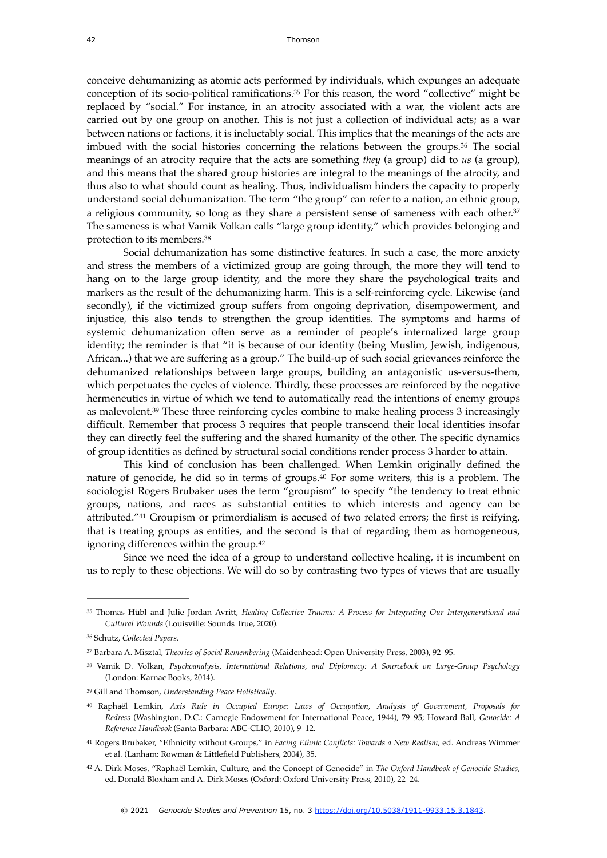<span id="page-10-9"></span><span id="page-10-8"></span>conceive dehumanizing as atomic acts performed by individuals, which expunges an adequate conception of its socio-political ramifications. $35$  For this reason, the word "collective" might be replaced by "social." For instance, in an atrocity associated with a war, the violent acts are carried out by one group on another. This is not just a collection of individual acts; as a war between nations or factions, it is ineluctably social. This implies that the meanings of the acts are imbuedwith the social histories concerning the relations between the groups. $36$  The social meanings of an atrocity require that the acts are something *they* (a group) did to *us* (a group)*,*  and this means that the shared group histories are integral to the meanings of the atrocity, and thus also to what should count as healing. Thus, individualism hinders the capacity to properly understand social dehumanization. The term "the group" can refer to a nation, an ethnic group, a religious community, so long as they share a persistent sense of sameness with each other.<sup>[37](#page-10-2)</sup> The sameness is what Vamik Volkan calls "large group identity," which provides belonging and protection to its members[.38](#page-10-3)

<span id="page-10-11"></span><span id="page-10-10"></span>Social dehumanization has some distinctive features. In such a case, the more anxiety and stress the members of a victimized group are going through, the more they will tend to hang on to the large group identity, and the more they share the psychological traits and markers as the result of the dehumanizing harm. This is a self-reinforcing cycle. Likewise (and secondly), if the victimized group suffers from ongoing deprivation, disempowerment, and injustice, this also tends to strengthen the group identities. The symptoms and harms of systemic dehumanization often serve as a reminder of people's internalized large group identity; the reminder is that "it is because of our identity (being Muslim, Jewish, indigenous, African...) that we are suffering as a group." The build-up of such social grievances reinforce the dehumanized relationships between large groups, building an antagonistic us-versus-them, which perpetuates the cycles of violence. Thirdly, these processes are reinforced by the negative hermeneutics in virtue of which we tend to automatically read the intentions of enemy groups as malevolent[.](#page-10-4)<sup>[39](#page-10-4)</sup> These three reinforcing cycles combine to make healing process 3 increasingly difficult. Remember that process 3 requires that people transcend their local identities insofar they can directly feel the suffering and the shared humanity of the other. The specific dynamics of group identities as defined by structural social conditions render process 3 harder to attain.

<span id="page-10-13"></span><span id="page-10-12"></span>This kind of conclusion has been challenged. When Lemkin originally defined the nature of genocide, he did so in terms of groups. $40$  For some writers, this is a problem. The sociologist Rogers Brubaker uses the term "groupism" to specify "the tendency to treat ethnic groups, nations, and races as substantial entities to which interests and agency can be attributed." $41$  Groupism or primordialism is accused of two related errors; the first is reifying, that is treating groups as entities, and the second is that of regarding them as homogeneous, ignoring differences within the group.<sup>42</sup>

<span id="page-10-15"></span><span id="page-10-14"></span>Since we need the idea of a group to understand collective healing, it is incumbent on us to reply to these objections. We will do so by contrasting two types of views that are usually

<span id="page-10-0"></span>Thomas Hübl and Julie Jordan Avritt, *Healing Collective Trauma: A Process for Integrating Our Intergenerational and* [35](#page-10-8) *Cultural Wounds* (Louisville: Sounds True, 2020).

<span id="page-10-1"></span>Schutz, *Collected Papers*. [36](#page-10-9)

<span id="page-10-2"></span><sup>&</sup>lt;sup>[37](#page-10-10)</sup> Barbara A. Misztal, *Theories of Social Remembering* (Maidenhead: Open University Press, 2003), 92-95.

<span id="page-10-3"></span>[<sup>38</sup>](#page-10-11) Vamik D. Volkan, *Psychoanalysis, International Relations, and Diplomacy: A Sourcebook on Large-Group Psychology* (London: Karnac Books, 2014).

<span id="page-10-4"></span>Gill and Thomson, *Understanding Peace Holistically*. [39](#page-10-12)

<span id="page-10-5"></span>Raphaël Lemkin, *Axis Rule in Occupied Europe: Laws of Occupation, Analysis of Government, Proposals for* [40](#page-10-13) *Redress* (Washington, D.C.: Carnegie Endowment for International Peace, 1944), 79–95; Howard Ball, *Genocide: A Reference Handbook* (Santa Barbara: ABC-CLIO, 2010), 9–12.

<span id="page-10-6"></span><sup>&</sup>lt;sup>[41](#page-10-14)</sup> Rogers Brubaker, "Ethnicity without Groups," in *Facing Ethnic Conflicts: Towards a New Realism*, ed. Andreas Wimmer et al. (Lanham: Rowman & Littlefield Publishers, 2004), 35.

<span id="page-10-7"></span>A. Dirk Moses, "Raphaël Lemkin, Culture, and the Concept of Genocide" in *The Oxford Handbook of Genocide Studies,* [42](#page-10-15) ed. Donald Bloxham and A. Dirk Moses (Oxford: Oxford University Press, 2010), 22–24.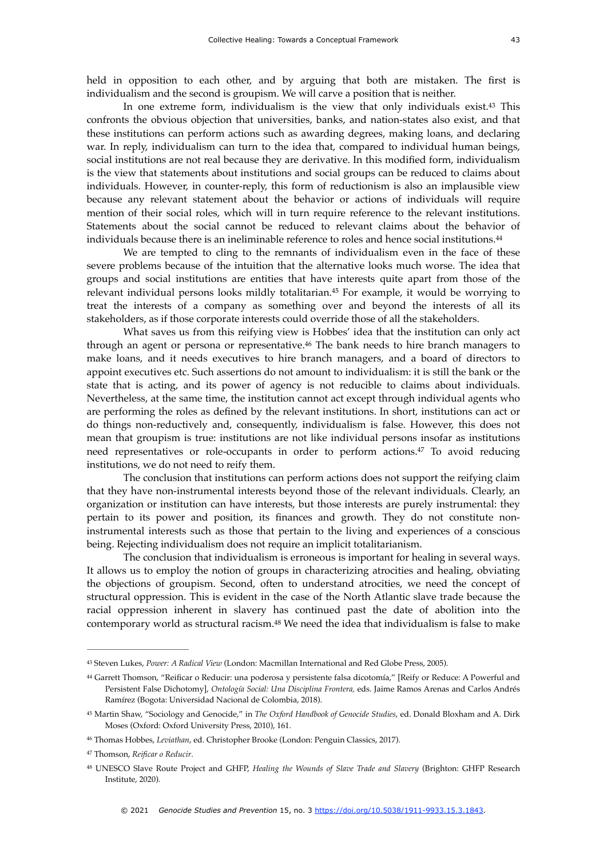<span id="page-11-6"></span>In one extreme form, individualism is the view that only individuals exist. $43$  This confronts the obvious objection that universities, banks, and nation-states also exist, and that these institutions can perform actions such as awarding degrees, making loans, and declaring war. In reply, individualism can turn to the idea that, compared to individual human beings, social institutions are not real because they are derivative. In this modified form, individualism is the view that statements about institutions and social groups can be reduced to claims about individuals. However, in counter-reply, this form of reductionism is also an implausible view because any relevant statement about the behavior or actions of individuals will require mention of their social roles, which will in turn require reference to the relevant institutions. Statements about the social cannot be reduced to relevant claims about the behavior of individuals because there is an ineliminable reference to roles and hence social institutions[.44](#page-11-1)

<span id="page-11-8"></span><span id="page-11-7"></span>We are tempted to cling to the remnants of individualism even in the face of these severe problems because of the intuition that the alternative looks much worse. The idea that groups and social institutions are entities that have interests quite apart from those of the relevant individual persons looks mildly totalitarian.<sup>[45](#page-11-2)</sup> For example, it would be worrying to treat the interests of a company as something over and beyond the interests of all its stakeholders, as if those corporate interests could override those of all the stakeholders.

<span id="page-11-9"></span>What saves us from this reifying view is Hobbes' idea that the institution can only act through an agent or persona or representative.<sup>[46](#page-11-3)</sup> The bank needs to hire branch managers to make loans, and it needs executives to hire branch managers, and a board of directors to appoint executives etc. Such assertions do not amount to individualism: it is still the bank or the state that is acting, and its power of agency is not reducible to claims about individuals. Nevertheless, at the same time, the institution cannot act except through individual agents who are performing the roles as defined by the relevant institutions. In short, institutions can act or do things non-reductively and, consequently, individualism is false. However, this does not mean that groupism is true: institutions are not like individual persons insofar as institutions need representatives or role-occupants in order to perform actions.<sup>[47](#page-11-4)</sup> To avoid reducing institutions, we do not need to reify them.

<span id="page-11-10"></span>The conclusion that institutions can perform actions does not support the reifying claim that they have non-instrumental interests beyond those of the relevant individuals. Clearly, an organization or institution can have interests, but those interests are purely instrumental: they pertain to its power and position, its finances and growth. They do not constitute noninstrumental interests such as those that pertain to the living and experiences of a conscious being. Rejecting individualism does not require an implicit totalitarianism.

The conclusion that individualism is erroneous is important for healing in several ways. It allows us to employ the notion of groups in characterizing atrocities and healing, obviating the objections of groupism. Second, often to understand atrocities, we need the concept of structural oppression. This is evident in the case of the North Atlantic slave trade because the racial oppression inherent in slavery has continued past the date of abolition into the contemporary world as structural racism.<sup>[48](#page-11-5)</sup> We need the idea that individualism is false to make

<span id="page-11-11"></span><span id="page-11-0"></span>Steven Lukes, *Power: A Radical View* (London: Macmillan International and Red Globe Press, 2005). [43](#page-11-6)

<span id="page-11-1"></span><sup>&</sup>lt;sup>[44](#page-11-7)</sup> Garrett Thomson, "Reificar o Reducir: una poderosa y persistente falsa dicotomía," [Reify or Reduce: A Powerful and Persistent False Dichotomy], *Ontología Social: Una Disciplina Frontera,* eds. Jaime Ramos Arenas and Carlos Andrés Ramírez (Bogota: Universidad Nacional de Colombia, 2018).

<span id="page-11-2"></span><sup>&</sup>lt;sup>[45](#page-11-8)</sup> Martin Shaw, "Sociology and Genocide," in *The Oxford Handbook of Genocide Studies*, ed. Donald Bloxham and A. Dirk Moses (Oxford: Oxford University Press, 2010), 161.

<span id="page-11-3"></span>Thomas Hobbes, *Leviathan*, ed. Christopher Brooke (London: Penguin Classics, 2017). [46](#page-11-9)

<span id="page-11-4"></span>Thomson, *Reificar o Reducir*. [47](#page-11-10)

<span id="page-11-5"></span>UNESCO Slave Route Project and GHFP, *Healing the Wounds of Slave Trade and Slavery* (Brighton: GHFP Research [48](#page-11-11) Institute, 2020).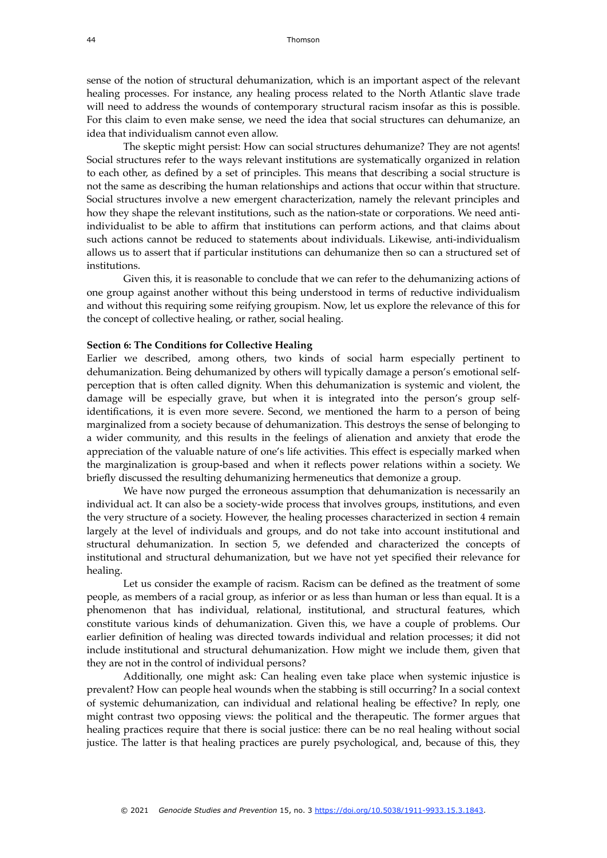sense of the notion of structural dehumanization, which is an important aspect of the relevant healing processes. For instance, any healing process related to the North Atlantic slave trade will need to address the wounds of contemporary structural racism insofar as this is possible. For this claim to even make sense, we need the idea that social structures can dehumanize, an idea that individualism cannot even allow.

The skeptic might persist: How can social structures dehumanize? They are not agents! Social structures refer to the ways relevant institutions are systematically organized in relation to each other, as defined by a set of principles. This means that describing a social structure is not the same as describing the human relationships and actions that occur within that structure. Social structures involve a new emergent characterization, namely the relevant principles and how they shape the relevant institutions, such as the nation-state or corporations. We need antiindividualist to be able to affirm that institutions can perform actions, and that claims about such actions cannot be reduced to statements about individuals. Likewise, anti-individualism allows us to assert that if particular institutions can dehumanize then so can a structured set of institutions.

Given this, it is reasonable to conclude that we can refer to the dehumanizing actions of one group against another without this being understood in terms of reductive individualism and without this requiring some reifying groupism. Now, let us explore the relevance of this for the concept of collective healing, or rather, social healing.

#### **Section 6: The Conditions for Collective Healing**

Earlier we described, among others, two kinds of social harm especially pertinent to dehumanization. Being dehumanized by others will typically damage a person's emotional selfperception that is often called dignity. When this dehumanization is systemic and violent, the damage will be especially grave, but when it is integrated into the person's group selfidentifications, it is even more severe. Second, we mentioned the harm to a person of being marginalized from a society because of dehumanization. This destroys the sense of belonging to a wider community, and this results in the feelings of alienation and anxiety that erode the appreciation of the valuable nature of one's life activities. This effect is especially marked when the marginalization is group-based and when it reflects power relations within a society. We briefly discussed the resulting dehumanizing hermeneutics that demonize a group.

We have now purged the erroneous assumption that dehumanization is necessarily an individual act. It can also be a society-wide process that involves groups, institutions, and even the very structure of a society. However, the healing processes characterized in section 4 remain largely at the level of individuals and groups, and do not take into account institutional and structural dehumanization. In section 5, we defended and characterized the concepts of institutional and structural dehumanization, but we have not yet specified their relevance for healing.

Let us consider the example of racism. Racism can be defined as the treatment of some people, as members of a racial group, as inferior or as less than human or less than equal. It is a phenomenon that has individual, relational, institutional, and structural features, which constitute various kinds of dehumanization. Given this, we have a couple of problems. Our earlier definition of healing was directed towards individual and relation processes; it did not include institutional and structural dehumanization. How might we include them, given that they are not in the control of individual persons?

Additionally, one might ask: Can healing even take place when systemic injustice is prevalent? How can people heal wounds when the stabbing is still occurring? In a social context of systemic dehumanization, can individual and relational healing be effective? In reply, one might contrast two opposing views: the political and the therapeutic. The former argues that healing practices require that there is social justice: there can be no real healing without social justice. The latter is that healing practices are purely psychological, and, because of this, they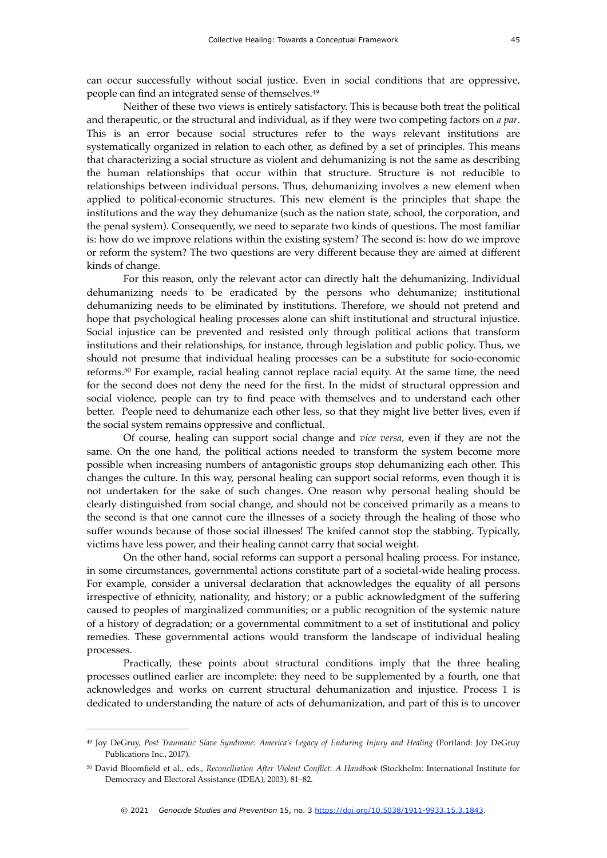can occur successfully without social justice. Even in social conditions that are oppressive, people can find an integrated sense of themselves.[49](#page-13-0)

<span id="page-13-2"></span>Neither of these two views is entirely satisfactory. This is because both treat the political and therapeutic, or the structural and individual, as if they were two competing factors on *a par*. This is an error because social structures refer to the ways relevant institutions are systematically organized in relation to each other, as defined by a set of principles. This means that characterizing a social structure as violent and dehumanizing is not the same as describing the human relationships that occur within that structure. Structure is not reducible to relationships between individual persons. Thus, dehumanizing involves a new element when applied to political-economic structures. This new element is the principles that shape the institutions and the way they dehumanize (such as the nation state, school, the corporation, and the penal system). Consequently, we need to separate two kinds of questions. The most familiar is: how do we improve relations within the existing system? The second is: how do we improve or reform the system? The two questions are very different because they are aimed at different kinds of change.

For this reason, only the relevant actor can directly halt the dehumanizing. Individual dehumanizing needs to be eradicated by the persons who dehumanize; institutional dehumanizing needs to be eliminated by institutions. Therefore, we should not pretend and hope that psychological healing processes alone can shift institutional and structural injustice. Social injustice can be prevented and resisted only through political actions that transform institutions and their relationships, for instance, through legislation and public policy. Thus, we should not presume that individual healing processes can be a substitute for socio-economic reforms. $50$ For example, racial healing cannot replace racial equity. At the same time, the need for the second does not deny the need for the first. In the midst of structural oppression and social violence, people can try to find peace with themselves and to understand each other better. People need to dehumanize each other less, so that they might live better lives, even if the social system remains oppressive and conflictual.

<span id="page-13-3"></span>Of course, healing can support social change and *vice versa*, even if they are not the same. On the one hand, the political actions needed to transform the system become more possible when increasing numbers of antagonistic groups stop dehumanizing each other. This changes the culture. In this way, personal healing can support social reforms, even though it is not undertaken for the sake of such changes. One reason why personal healing should be clearly distinguished from social change, and should not be conceived primarily as a means to the second is that one cannot cure the illnesses of a society through the healing of those who suffer wounds because of those social illnesses! The knifed cannot stop the stabbing. Typically, victims have less power, and their healing cannot carry that social weight.

On the other hand, social reforms can support a personal healing process. For instance, in some circumstances, governmental actions constitute part of a societal-wide healing process. For example, consider a universal declaration that acknowledges the equality of all persons irrespective of ethnicity, nationality, and history; or a public acknowledgment of the suffering caused to peoples of marginalized communities; or a public recognition of the systemic nature of a history of degradation; or a governmental commitment to a set of institutional and policy remedies. These governmental actions would transform the landscape of individual healing processes.

Practically, these points about structural conditions imply that the three healing processes outlined earlier are incomplete: they need to be supplemented by a fourth, one that acknowledges and works on current structural dehumanization and injustice. Process 1 is dedicated to understanding the nature of acts of dehumanization, and part of this is to uncover

<span id="page-13-0"></span><sup>&</sup>lt;sup>[49](#page-13-2)</sup> Joy DeGruy, Post Traumatic Slave Syndrome: America's Legacy of Enduring Injury and Healing (Portland: Joy DeGruy Publications Inc., 2017).

<span id="page-13-1"></span>David Bloomfield et al., eds., *Reconciliation After Violent Conflict*: *A Handbook* (Stockholm: International Institute for [50](#page-13-3) Democracy and Electoral Assistance (IDEA), 2003), 81–82.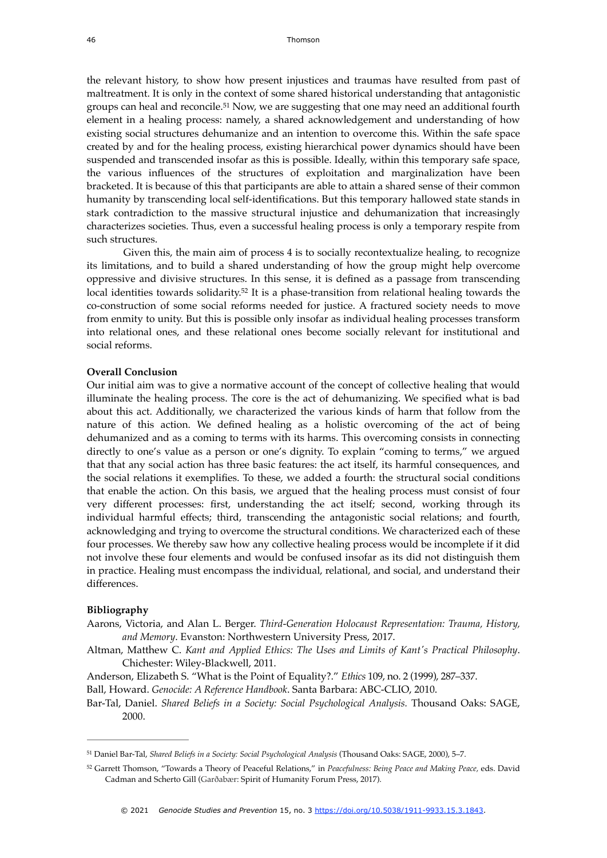<span id="page-14-2"></span>the relevant history, to show how present injustices and traumas have resulted from past of maltreatment. It is only in the context of some shared historical understanding that antagonistic groups can heal and reconcile.<sup>[51](#page-14-0)</sup> Now, we are suggesting that one may need an additional fourth element in a healing process: namely, a shared acknowledgement and understanding of how existing social structures dehumanize and an intention to overcome this. Within the safe space created by and for the healing process, existing hierarchical power dynamics should have been suspended and transcended insofar as this is possible. Ideally, within this temporary safe space, the various influences of the structures of exploitation and marginalization have been bracketed. It is because of this that participants are able to attain a shared sense of their common humanity by transcending local self-identifications. But this temporary hallowed state stands in stark contradiction to the massive structural injustice and dehumanization that increasingly characterizes societies. Thus, even a successful healing process is only a temporary respite from such structures.

<span id="page-14-3"></span>Given this, the main aim of process 4 is to socially recontextualize healing, to recognize its limitations, and to build a shared understanding of how the group might help overcome oppressive and divisive structures. In this sense, it is defined as a passage from transcending local identities towards solidarity.<sup>[52](#page-14-1)</sup> It is a phase-transition from relational healing towards the co-construction of some social reforms needed for justice. A fractured society needs to move from enmity to unity. But this is possible only insofar as individual healing processes transform into relational ones, and these relational ones become socially relevant for institutional and social reforms.

#### **Overall Conclusion**

Our initial aim was to give a normative account of the concept of collective healing that would illuminate the healing process. The core is the act of dehumanizing. We specified what is bad about this act. Additionally, we characterized the various kinds of harm that follow from the nature of this action. We defined healing as a holistic overcoming of the act of being dehumanized and as a coming to terms with its harms. This overcoming consists in connecting directly to one's value as a person or one's dignity. To explain "coming to terms," we argued that that any social action has three basic features: the act itself, its harmful consequences, and the social relations it exemplifies. To these, we added a fourth: the structural social conditions that enable the action. On this basis, we argued that the healing process must consist of four very different processes: first, understanding the act itself; second, working through its individual harmful effects; third, transcending the antagonistic social relations; and fourth, acknowledging and trying to overcome the structural conditions. We characterized each of these four processes. We thereby saw how any collective healing process would be incomplete if it did not involve these four elements and would be confused insofar as its did not distinguish them in practice. Healing must encompass the individual, relational, and social, and understand their differences.

#### **Bibliography**

- Aarons, Victoria, and Alan L. Berger. *Third-Generation Holocaust Representation: Trauma, History, and Memory*. Evanston: Northwestern University Press, 2017.
- Altman, Matthew C. *Kant and Applied Ethics: The Uses and Limits of Kant's Practical Philosophy*. Chichester: Wiley-Blackwell, 2011.
- Anderson, Elizabeth S. "What is the Point of Equality?." *Ethics* 109, no. 2 (1999), 287–337.

Ball, Howard. *Genocide: A Reference Handbook*. Santa Barbara: ABC-CLIO, 2010.

Bar-Tal, Daniel. *Shared Beliefs in a Society: Social Psychological Analysis.* Thousand Oaks: SAGE, 2000.

<span id="page-14-0"></span><sup>&</sup>lt;sup>[51](#page-14-2)</sup> Daniel Bar-Tal, *Shared Beliefs in a Society: Social Psychological Analysis* (Thousand Oaks: SAGE, 2000), 5-7.

<span id="page-14-1"></span>[<sup>52</sup>](#page-14-3) Garrett Thomson, "Towards a Theory of Peaceful Relations," in *Peacefulness: Being Peace and Making Peace*, eds. David Cadman and Scherto Gill (Garðabær: Spirit of Humanity Forum Press, 2017).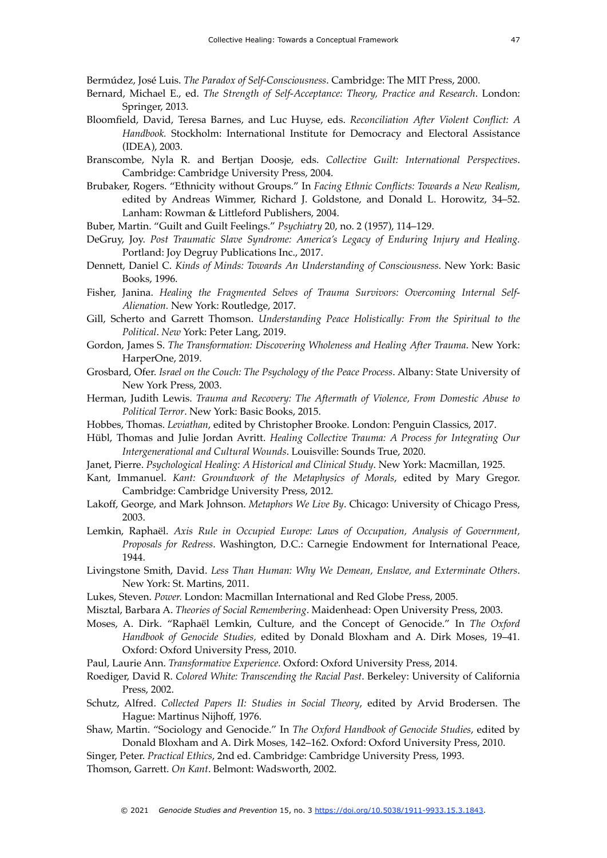Bermúdez, José Luis. *The Paradox of Self-Consciousness*. Cambridge: The MIT Press, 2000.

- Bernard, Michael E., ed. *The Strength of Self-Acceptance: Theory, Practice and Research*. London: Springer, 2013.
- Bloomfield, David, Teresa Barnes, and Luc Huyse, eds. *Reconciliation After Violent Conflict: A Handbook.* Stockholm: International Institute for Democracy and Electoral Assistance (IDEA), 2003.
- Branscombe, Nyla R. and Bertjan Doosje, eds. *Collective Guilt: International Perspectives*. Cambridge: Cambridge University Press, 2004.
- Brubaker, Rogers. "Ethnicity without Groups." In *Facing Ethnic Conflicts: Towards a New Realism*, edited by Andreas Wimmer, Richard J. Goldstone, and Donald L. Horowitz, 34–52. Lanham: Rowman & Littleford Publishers, 2004.
- Buber, Martin. "Guilt and Guilt Feelings." *Psychiatry* 20, no. 2 (1957), 114–129.
- DeGruy, Joy. *Post Traumatic Slave Syndrome: America's Legacy of Enduring Injury and Healing.* Portland: Joy Degruy Publications Inc., 2017.
- Dennett, Daniel C. *Kinds of Minds: Towards An Understanding of Consciousness*. New York: Basic Books, 1996.
- Fisher, Janina. *Healing the Fragmented Selves of Trauma Survivors: Overcoming Internal Self-Alienation.* New York: Routledge, 2017.
- Gill, Scherto and Garrett Thomson. *Understanding Peace Holistically: From the Spiritual to the Political*. *New* York: Peter Lang, 2019.
- Gordon, James S. *The Transformation: Discovering Wholeness and Healing After Trauma*. New York: HarperOne, 2019.
- Grosbard, Ofer. *Israel on the Couch: The Psychology of the Peace Process*. Albany: State University of New York Press, 2003.
- Herman, Judith Lewis. *Trauma and Recovery: The Aftermath of Violence, From Domestic Abuse to Political Terror*. New York: Basic Books, 2015.
- Hobbes, Thomas. *Leviathan*, edited by Christopher Brooke. London: Penguin Classics, 2017.
- Hübl, Thomas and Julie Jordan Avritt. *Healing Collective Trauma: A Process for Integrating Our Intergenerational and Cultural Wounds*. Louisville: Sounds True, 2020.
- Janet, Pierre. *Psychological Healing: A Historical and Clinical Study*. New York: Macmillan, 1925.
- Kant, Immanuel. *Kant: Groundwork of the Metaphysics of Morals*, edited by Mary Gregor. Cambridge: Cambridge University Press, 2012.
- Lakoff, George, and Mark Johnson. *Metaphors We Live By*. Chicago: University of Chicago Press, 2003.
- Lemkin, Raphaël. *Axis Rule in Occupied Europe: Laws of Occupation, Analysis of Government, Proposals for Redress*. Washington, D.C.: Carnegie Endowment for International Peace, 1944.
- Livingstone Smith, David. *Less Than Human: Why We Demean, Enslave, and Exterminate Others*. New York: St. Martins, 2011.
- Lukes, Steven. *Power.* London: Macmillan International and Red Globe Press, 2005.
- Misztal, Barbara A. *Theories of Social Remembering*. Maidenhead: Open University Press, 2003.
- Moses, A. Dirk. "Raphaël Lemkin, Culture, and the Concept of Genocide." In *The Oxford Handbook of Genocide Studies,* edited by Donald Bloxham and A. Dirk Moses, 19–41*.* Oxford: Oxford University Press, 2010.
- Paul, Laurie Ann. *Transformative Experience.* Oxford: Oxford University Press, 2014.
- Roediger, David R. *Colored White: Transcending the Racial Past*. Berkeley: University of California Press, 2002.
- Schutz, Alfred. *Collected Papers II: Studies in Social Theory*, edited by Arvid Brodersen. The Hague: Martinus Nijhoff, 1976.
- Shaw, Martin. "Sociology and Genocide." In *The Oxford Handbook of Genocide Studies*, edited by Donald Bloxham and A. Dirk Moses*,* 142–162. Oxford: Oxford University Press, 2010.
- Singer, Peter. *Practical Ethics*, 2nd ed. Cambridge: Cambridge University Press, 1993.
- Thomson, Garrett. *On Kant*. Belmont: Wadsworth, 2002.